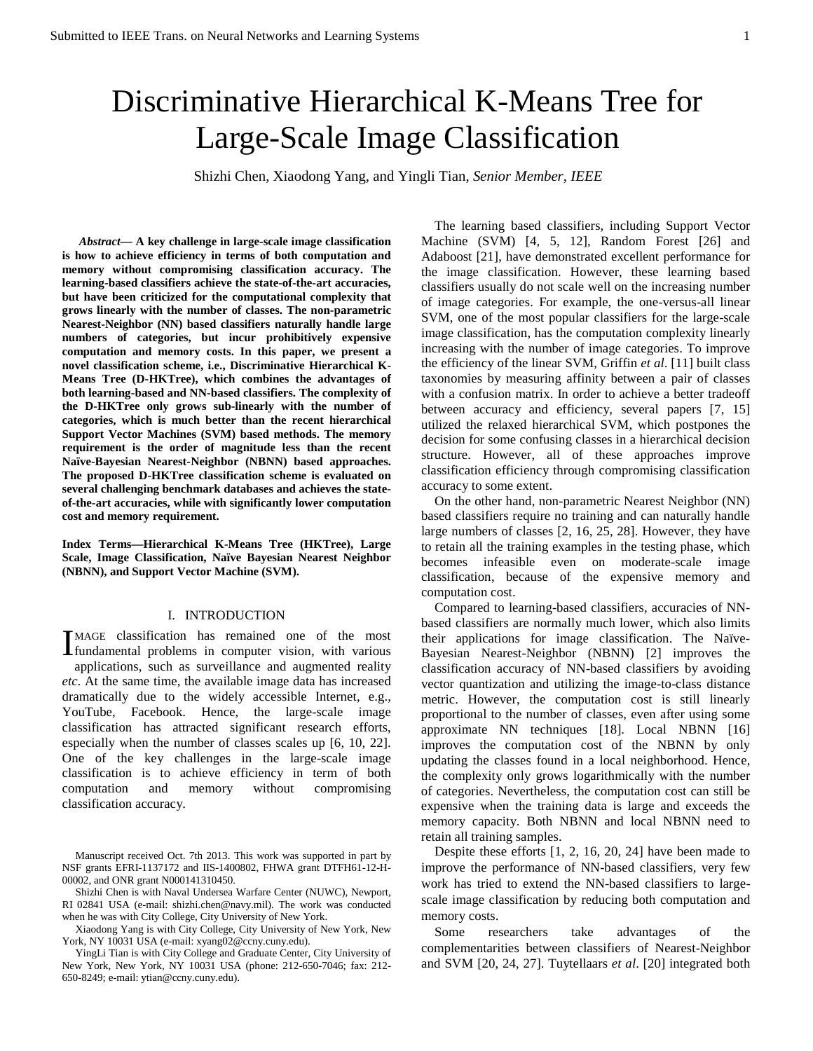# Discriminative Hierarchical K-Means Tree for Large-Scale Image Classification

Shizhi Chen, Xiaodong Yang, and Yingli Tian, *Senior Member, IEEE*

*[A](#page-0-0)bstract—* **A key challenge in large-scale image classification is how to achieve efficiency in terms of both computation and memory without compromising classification accuracy. The learning-based classifiers achieve the state-of-the-art accuracies, but have been criticized for the computational complexity that grows linearly with the number of classes. The non-parametric Nearest-Neighbor (NN) based classifiers naturally handle large numbers of categories, but incur prohibitively expensive computation and memory costs. In this paper, we present a novel classification scheme, i.e., Discriminative Hierarchical K-Means Tree (D-HKTree), which combines the advantages of both learning-based and NN-based classifiers. The complexity of the D-HKTree only grows sub-linearly with the number of categories, which is much better than the recent hierarchical Support Vector Machines (SVM) based methods. The memory requirement is the order of magnitude less than the recent Naïve-Bayesian Nearest-Neighbor (NBNN) based approaches. The proposed D-HKTree classification scheme is evaluated on several challenging benchmark databases and achieves the stateof-the-art accuracies, while with significantly lower computation cost and memory requirement.**

**Index Terms—Hierarchical K-Means Tree (HKTree), Large Scale, Image Classification, Naïve Bayesian Nearest Neighbor (NBNN), and Support Vector Machine (SVM).**

#### I. INTRODUCTION

MAGE classification has remained one of the most MAGE classification has remained one of the most<br>fundamental problems in computer vision, with various applications, such as surveillance and augmented reality *etc*. At the same time, the available image data has increased dramatically due to the widely accessible Internet, e.g., YouTube, Facebook. Hence, the large-scale image classification has attracted significant research efforts, especially when the number of classes scales up [6, 10, 22]. One of the key challenges in the large-scale image classification is to achieve efficiency in term of both computation and memory without compromising classification accuracy.

Shizhi Chen is with Naval Undersea Warfare Center (NUWC), Newport, RI 02841 USA (e-mail: shizhi.chen@navy.mil). The work was conducted when he was with City College, City University of New York.

Xiaodong Yang is with City College, City University of New York, New York, NY 10031 USA (e-mail: xyang02@ccny.cuny.edu).

YingLi Tian is with City College and Graduate Center, City University of New York, New York, NY 10031 USA (phone: 212-650-7046; fax: 212- 650-8249; e-mail: ytian@ccny.cuny.edu).

The learning based classifiers, including Support Vector Machine (SVM) [4, 5, 12], Random Forest [26] and Adaboost [21], have demonstrated excellent performance for the image classification. However, these learning based classifiers usually do not scale well on the increasing number of image categories. For example, the one-versus-all linear SVM, one of the most popular classifiers for the large-scale image classification, has the computation complexity linearly increasing with the number of image categories. To improve the efficiency of the linear SVM, Griffin *et al*. [11] built class taxonomies by measuring affinity between a pair of classes with a confusion matrix. In order to achieve a better tradeoff between accuracy and efficiency, several papers [7, 15] utilized the relaxed hierarchical SVM, which postpones the decision for some confusing classes in a hierarchical decision structure. However, all of these approaches improve classification efficiency through compromising classification accuracy to some extent.

On the other hand, non-parametric Nearest Neighbor (NN) based classifiers require no training and can naturally handle large numbers of classes [2, 16, 25, 28]. However, they have to retain all the training examples in the testing phase, which becomes infeasible even on moderate-scale image classification, because of the expensive memory and computation cost.

Compared to learning-based classifiers, accuracies of NNbased classifiers are normally much lower, which also limits their applications for image classification. The Naïve-Bayesian Nearest-Neighbor (NBNN) [2] improves the classification accuracy of NN-based classifiers by avoiding vector quantization and utilizing the image-to-class distance metric. However, the computation cost is still linearly proportional to the number of classes, even after using some approximate NN techniques [18]. Local NBNN [16] improves the computation cost of the NBNN by only updating the classes found in a local neighborhood. Hence, the complexity only grows logarithmically with the number of categories. Nevertheless, the computation cost can still be expensive when the training data is large and exceeds the memory capacity. Both NBNN and local NBNN need to retain all training samples.

Despite these efforts [1, 2, 16, 20, 24] have been made to improve the performance of NN-based classifiers, very few work has tried to extend the NN-based classifiers to largescale image classification by reducing both computation and memory costs.

Some researchers take advantages of the complementarities between classifiers of Nearest-Neighbor and SVM [20, 24, 27]. Tuytellaars *et al*. [20] integrated both

<span id="page-0-0"></span>Manuscript received Oct. 7th 2013. This work was supported in part by NSF grants EFRI-1137172 and IIS-1400802, FHWA grant DTFH61-12-H-00002, and ONR grant N000141310450.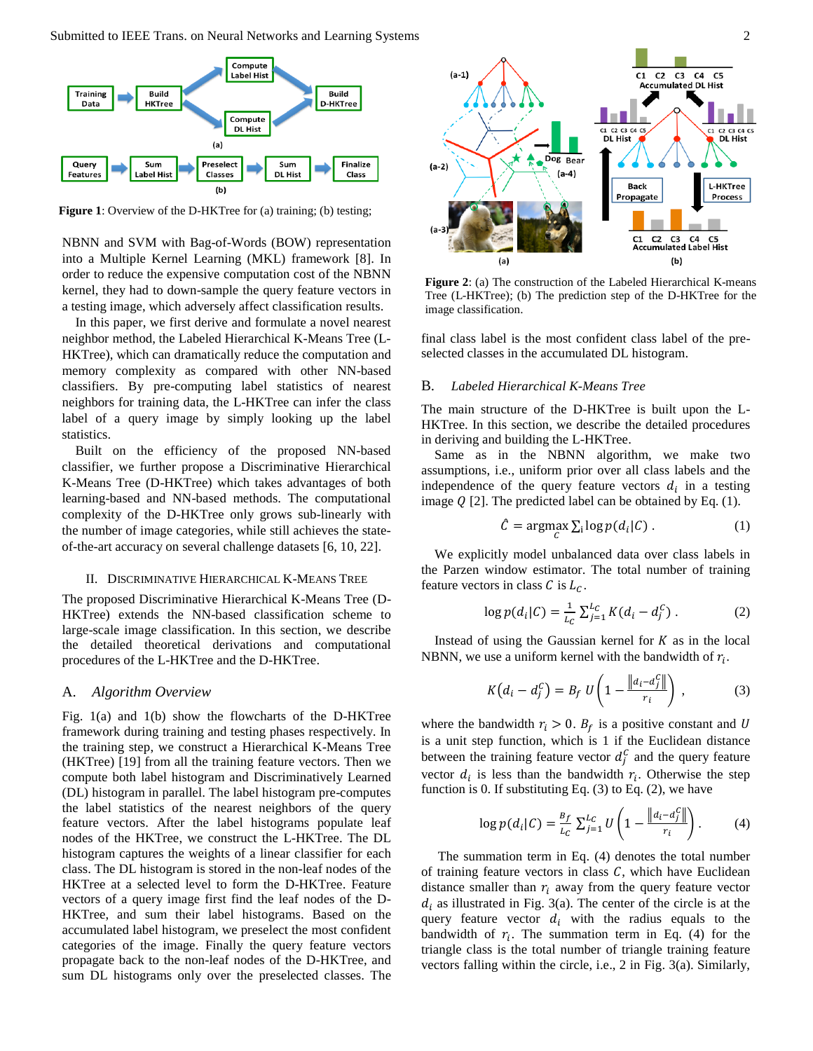

**Figure 1**: Overview of the D-HKTree for (a) training; (b) testing;

NBNN and SVM with Bag-of-Words (BOW) representation into a Multiple Kernel Learning (MKL) framework [8]. In order to reduce the expensive computation cost of the NBNN kernel, they had to down-sample the query feature vectors in a testing image, which adversely affect classification results.

In this paper, we first derive and formulate a novel nearest neighbor method, the Labeled Hierarchical K-Means Tree (L-HKTree), which can dramatically reduce the computation and memory complexity as compared with other NN-based classifiers. By pre-computing label statistics of nearest neighbors for training data, the L-HKTree can infer the class label of a query image by simply looking up the label statistics.

Built on the efficiency of the proposed NN-based classifier, we further propose a Discriminative Hierarchical K-Means Tree (D-HKTree) which takes advantages of both learning-based and NN-based methods. The computational complexity of the D-HKTree only grows sub-linearly with the number of image categories, while still achieves the stateof-the-art accuracy on several challenge datasets [6, 10, 22].

#### II. DISCRIMINATIVE HIERARCHICAL K-MEANS TREE

The proposed Discriminative Hierarchical K-Means Tree (D-HKTree) extends the NN-based classification scheme to large-scale image classification. In this section, we describe the detailed theoretical derivations and computational procedures of the L-HKTree and the D-HKTree.

## A. *Algorithm Overview*

Fig. 1(a) and 1(b) show the flowcharts of the D-HKTree framework during training and testing phases respectively. In the training step, we construct a Hierarchical K-Means Tree (HKTree) [19] from all the training feature vectors. Then we compute both label histogram and Discriminatively Learned (DL) histogram in parallel. The label histogram pre-computes the label statistics of the nearest neighbors of the query feature vectors. After the label histograms populate leaf nodes of the HKTree, we construct the L-HKTree. The DL histogram captures the weights of a linear classifier for each class. The DL histogram is stored in the non-leaf nodes of the HKTree at a selected level to form the D-HKTree. Feature vectors of a query image first find the leaf nodes of the D-HKTree, and sum their label histograms. Based on the accumulated label histogram, we preselect the most confident categories of the image. Finally the query feature vectors propagate back to the non-leaf nodes of the D-HKTree, and sum DL histograms only over the preselected classes. The



**Figure 2**: (a) The construction of the Labeled Hierarchical K-means Tree (L-HKTree); (b) The prediction step of the D-HKTree for the image classification.

final class label is the most confident class label of the preselected classes in the accumulated DL histogram.

## B. *Labeled Hierarchical K-Means Tree*

The main structure of the D-HKTree is built upon the L-HKTree. In this section, we describe the detailed procedures in deriving and building the L-HKTree.

Same as in the NBNN algorithm, we make two assumptions, i.e., uniform prior over all class labels and the independence of the query feature vectors  $d_i$  in a testing image  $Q$  [2]. The predicted label can be obtained by Eq. (1).

$$
\hat{C} = \underset{C}{\text{argmax}} \sum_{i} \log p(d_i | C) . \tag{1}
$$

We explicitly model unbalanced data over class labels in the Parzen window estimator. The total number of training feature vectors in class C is  $L_c$ .

$$
\log p(d_i|C) = \frac{1}{L_C} \sum_{j=1}^{L_C} K(d_i - d_j^C) \,. \tag{2}
$$

Instead of using the Gaussian kernel for  $K$  as in the local NBNN, we use a uniform kernel with the bandwidth of  $r_i$ .

$$
K\left(d_i - d_j^C\right) = B_f U \left(1 - \frac{\left\|d_i - d_j^C\right\|}{r_i}\right) ,\qquad (3)
$$

where the bandwidth  $r_i > 0$ .  $B_f$  is a positive constant and U is a unit step function, which is 1 if the Euclidean distance between the training feature vector  $d_j^C$  and the query feature vector  $d_i$  is less than the bandwidth  $r_i$ . Otherwise the step function is 0. If substituting Eq.  $(3)$  to Eq.  $(2)$ , we have

$$
\log p(d_i|C) = \frac{B_f}{L_C} \sum_{j=1}^{L_C} U\left(1 - \frac{\|d_i - d_j^C\|}{r_i}\right). \tag{4}
$$

The summation term in Eq. (4) denotes the total number of training feature vectors in class  $C$ , which have Euclidean distance smaller than  $r_i$  away from the query feature vector  $d_i$  as illustrated in Fig. 3(a). The center of the circle is at the query feature vector  $d_i$  with the radius equals to the bandwidth of  $r_i$ . The summation term in Eq. (4) for the triangle class is the total number of triangle training feature vectors falling within the circle, i.e., 2 in Fig. 3(a). Similarly,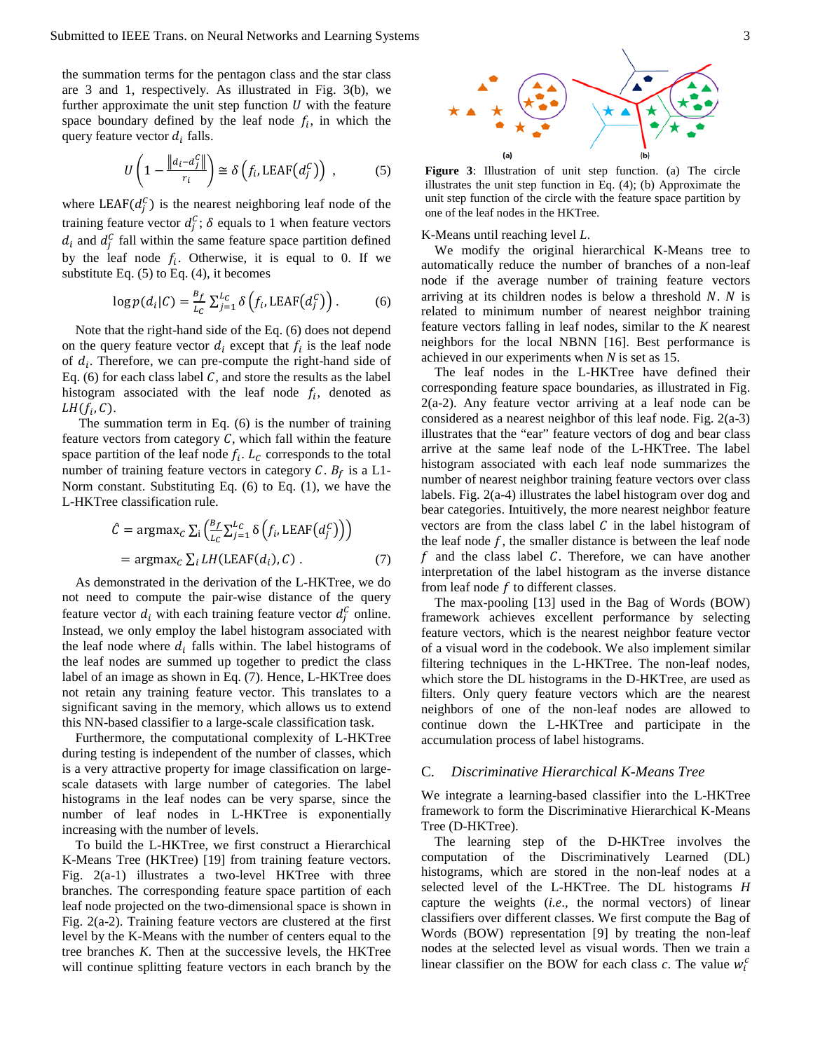the summation terms for the pentagon class and the star class are 3 and 1, respectively. As illustrated in Fig. 3(b), we further approximate the unit step function  $U$  with the feature space boundary defined by the leaf node  $f_i$ , in which the query feature vector  $d_i$  falls.

$$
U\left(1 - \frac{\|d_i - d_j^C\|}{r_i}\right) \cong \delta\left(f_i, \text{LEAF}\left(d_j^C\right)\right) ,\tag{5}
$$

where LEAF( $d_j^C$ ) is the nearest neighboring leaf node of the training feature vector  $d_j^C$ ;  $\delta$  equals to 1 when feature vectors  $d_i$  and  $d_j^C$  fall within the same feature space partition defined by the leaf node  $f_i$ . Otherwise, it is equal to 0. If we substitute Eq.  $(5)$  to Eq.  $(4)$ , it becomes

$$
\log p(d_i|C) = \frac{B_f}{L_C} \sum_{j=1}^{L_C} \delta\left(f_i, \text{LEAF}\left(d_j^C\right)\right). \tag{6}
$$

Note that the right-hand side of the Eq. (6) does not depend on the query feature vector  $d_i$  except that  $f_i$  is the leaf node of  $d_i$ . Therefore, we can pre-compute the right-hand side of Eq. (6) for each class label  $C$ , and store the results as the label histogram associated with the leaf node  $f_i$ , denoted as  $LH(f_i, C)$ .

The summation term in Eq. (6) is the number of training feature vectors from category  $C$ , which fall within the feature space partition of the leaf node  $f_i$ .  $L_c$  corresponds to the total number of training feature vectors in category C.  $B_f$  is a L1-Norm constant. Substituting Eq. (6) to Eq. (1), we have the L-HKTree classification rule.

$$
\hat{C} = \operatorname{argmax}_{C} \sum_{i} \left( \frac{B_f}{L_C} \sum_{j=1}^{L_C} \delta \left( f_i, \text{LEAF}(d_i^C) \right) \right)
$$
  
= 
$$
\operatorname{argmax}_{C} \sum_{i} LH(\text{LEAF}(d_i), C) .
$$
 (7)

As demonstrated in the derivation of the L-HKTree, we do not need to compute the pair-wise distance of the query feature vector  $d_i$  with each training feature vector  $d_j^C$  online. Instead, we only employ the label histogram associated with the leaf node where  $d_i$  falls within. The label histograms of the leaf nodes are summed up together to predict the class label of an image as shown in Eq. (7). Hence, L-HKTree does not retain any training feature vector. This translates to a significant saving in the memory, which allows us to extend this NN-based classifier to a large-scale classification task.

Furthermore, the computational complexity of L-HKTree during testing is independent of the number of classes, which is a very attractive property for image classification on largescale datasets with large number of categories. The label histograms in the leaf nodes can be very sparse, since the number of leaf nodes in L-HKTree is exponentially increasing with the number of levels.

To build the L-HKTree, we first construct a Hierarchical K-Means Tree (HKTree) [19] from training feature vectors. Fig. 2(a-1) illustrates a two-level HKTree with three branches. The corresponding feature space partition of each leaf node projected on the two-dimensional space is shown in Fig. 2(a-2). Training feature vectors are clustered at the first level by the K-Means with the number of centers equal to the tree branches *K*. Then at the successive levels, the HKTree will continue splitting feature vectors in each branch by the



**Figure 3**: Illustration of unit step function. (a) The circle illustrates the unit step function in Eq. (4); (b) Approximate the unit step function of the circle with the feature space partition by one of the leaf nodes in the HKTree.

K-Means until reaching level *L*.

We modify the original hierarchical K-Means tree to automatically reduce the number of branches of a non-leaf node if the average number of training feature vectors arriving at its children nodes is below a threshold  $N$ .  $N$  is related to minimum number of nearest neighbor training feature vectors falling in leaf nodes, similar to the *K* nearest neighbors for the local NBNN [16]. Best performance is achieved in our experiments when *N* is set as 15.

The leaf nodes in the L-HKTree have defined their corresponding feature space boundaries, as illustrated in Fig.  $2(a-2)$ . Any feature vector arriving at a leaf node can be considered as a nearest neighbor of this leaf node. Fig. 2(a-3) illustrates that the "ear" feature vectors of dog and bear class arrive at the same leaf node of the L-HKTree. The label histogram associated with each leaf node summarizes the number of nearest neighbor training feature vectors over class labels. Fig. 2(a-4) illustrates the label histogram over dog and bear categories. Intuitively, the more nearest neighbor feature vectors are from the class label  $C$  in the label histogram of the leaf node  $f$ , the smaller distance is between the leaf node f and the class label  $C$ . Therefore, we can have another interpretation of the label histogram as the inverse distance from leaf node  $f$  to different classes.

The max-pooling [13] used in the Bag of Words (BOW) framework achieves excellent performance by selecting feature vectors, which is the nearest neighbor feature vector of a visual word in the codebook. We also implement similar filtering techniques in the L-HKTree. The non-leaf nodes, which store the DL histograms in the D-HKTree, are used as filters. Only query feature vectors which are the nearest neighbors of one of the non-leaf nodes are allowed to continue down the L-HKTree and participate in the accumulation process of label histograms.

# C. *Discriminative Hierarchical K-Means Tree*

We integrate a learning-based classifier into the L-HKTree framework to form the Discriminative Hierarchical K-Means Tree (D-HKTree).

The learning step of the D-HKTree involves the computation of the Discriminatively Learned (DL) histograms, which are stored in the non-leaf nodes at a selected level of the L-HKTree. The DL histograms *H* capture the weights (*i.e*., the normal vectors) of linear classifiers over different classes. We first compute the Bag of Words (BOW) representation [9] by treating the non-leaf nodes at the selected level as visual words. Then we train a linear classifier on the BOW for each class  $c$ . The value  $w_i^c$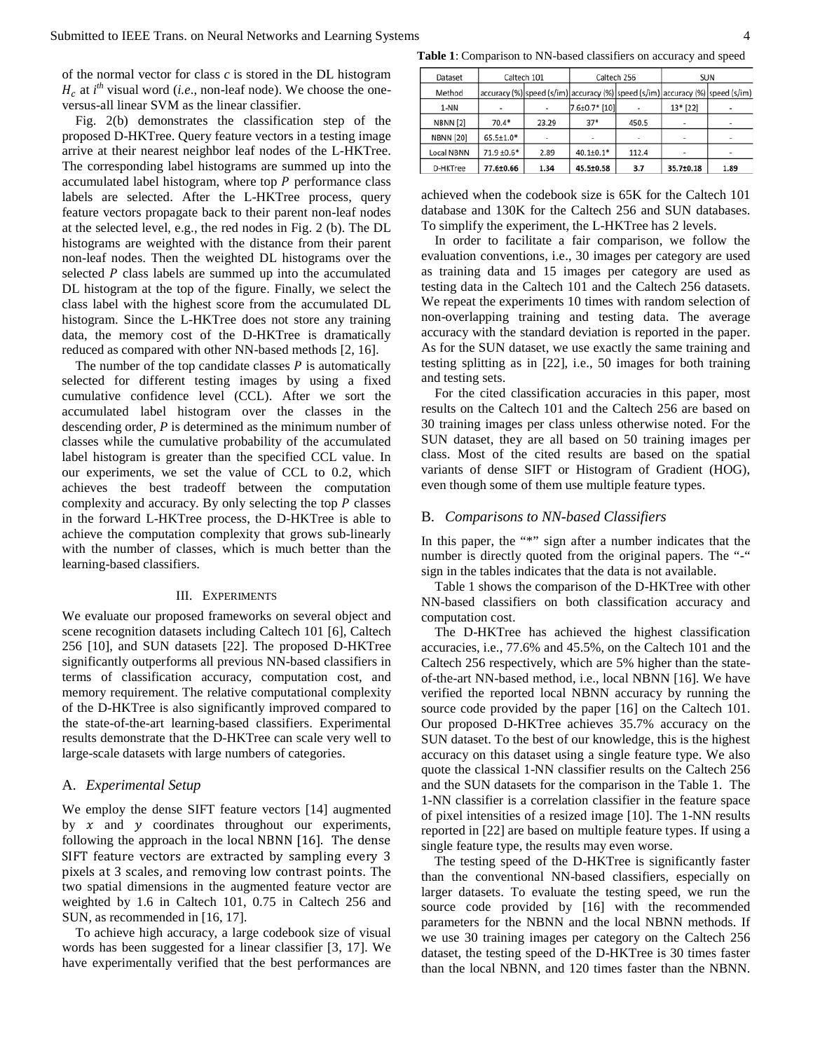of the normal vector for class *c* is stored in the DL histogram  $\int_{c}$  at *i*<sup>th</sup> visual word (*i.e.*, non-leaf node). We choose the oneversus-all linear SVM as the linear classifier.

Fig. 2(b) demonstrates the classification step of the proposed D-HKTree. Query feature vectors in a testing image arrive at their nearest neighbor leaf nodes of the L-HKTree. The corresponding label histograms are summed up into the accumulated label histogram, where top  $P$  performance class labels are selected. After the L-HKTree process, query feature vectors propagate back to their parent non-leaf nodes at the selected level, e.g., the red nodes in Fig. 2 (b). The DL histograms are weighted with the distance from their parent non-leaf nodes. Then the weighted DL histograms over the selected  $P$  class labels are summed up into the accumulated DL histogram at the top of the figure. Finally, we select the class label with the highest score from the accumulated DL histogram. Since the L-HKTree does not store any training data, the memory cost of the D-HKTree is dramatically reduced as compared with other NN-based methods [2, 16].

The number of the top candidate classes  $P$  is automatically selected for different testing images by using a fixed cumulative confidence level (CCL). After we sort the accumulated label histogram over the classes in the descending order, *P* is determined as the minimum number of classes while the cumulative probability of the accumulated label histogram is greater than the specified CCL value. In our experiments, we set the value of CCL to 0.2, which achieves the best tradeoff between the computation complexity and accuracy. By only selecting the top  $P$  classes in the forward L-HKTree process, the D-HKTree is able to achieve the computation complexity that grows sub-linearly with the number of classes, which is much better than the learning-based classifiers.

#### III. EXPERIMENTS

We evaluate our proposed frameworks on several object and scene recognition datasets including Caltech 101 [6], Caltech 256 [10], and SUN datasets [22]. The proposed D-HKTree significantly outperforms all previous NN-based classifiers in terms of classification accuracy, computation cost, and memory requirement. The relative computational complexity of the D-HKTree is also significantly improved compared to the state-of-the-art learning-based classifiers. Experimental results demonstrate that the D-HKTree can scale very well to large-scale datasets with large numbers of categories.

# A. *Experimental Setup*

We employ the dense SIFT feature vectors [14] augmented by  $x$  and  $y$  coordinates throughout our experiments, following the approach in the local NBNN [16]. The dense SIFT feature vectors are extracted by sampling every 3 pixels at 3 scales, and removing low contrast points. The two spatial dimensions in the augmented feature vector are weighted by 1.6 in Caltech 101, 0.75 in Caltech 256 and SUN, as recommended in [16, 17].

To achieve high accuracy, a large codebook size of visual words has been suggested for a linear classifier [3, 17]. We have experimentally verified that the best performances are

**Table 1**: Comparison to NN-based classifiers on accuracy and speed

| Dataset          | Caltech 101     |       | Caltech 256                                                                   |       | <b>SUN</b> |                          |
|------------------|-----------------|-------|-------------------------------------------------------------------------------|-------|------------|--------------------------|
| Method           |                 |       | accuracy (%) speed (s/im) accuracy (%) speed (s/im) accuracy (%) speed (s/im) |       |            |                          |
| 1-NN             |                 |       | $7.6 \pm 0.7*$ [10]                                                           |       | 13* [22]   |                          |
| <b>NBNN [2]</b>  | $70.4*$         | 23.29 | $37*$                                                                         | 450.5 |            | $\overline{\phantom{0}}$ |
| <b>NBNN [20]</b> | $65.5{\pm}1.0*$ | ٠     | ٠                                                                             |       |            |                          |
| Local NBNN       | 71.9 ±0.6*      | 2.89  | $40.1{\pm}0.1*$                                                               | 112.4 |            |                          |
| D-HKTree         | 77.6±0.66       | 1.34  | 45.5±0.58                                                                     | 3.7   | 35.7±0.18  | 1.89                     |

achieved when the codebook size is 65K for the Caltech 101 database and 130K for the Caltech 256 and SUN databases. To simplify the experiment, the L-HKTree has 2 levels.

In order to facilitate a fair comparison, we follow the evaluation conventions, i.e., 30 images per category are used as training data and 15 images per category are used as testing data in the Caltech 101 and the Caltech 256 datasets. We repeat the experiments 10 times with random selection of non-overlapping training and testing data. The average accuracy with the standard deviation is reported in the paper. As for the SUN dataset, we use exactly the same training and testing splitting as in [22], i.e., 50 images for both training and testing sets.

For the cited classification accuracies in this paper, most results on the Caltech 101 and the Caltech 256 are based on 30 training images per class unless otherwise noted. For the SUN dataset, they are all based on 50 training images per class. Most of the cited results are based on the spatial variants of dense SIFT or Histogram of Gradient (HOG), even though some of them use multiple feature types.

# B. *Comparisons to NN-based Classifiers*

In this paper, the "\*" sign after a number indicates that the number is directly quoted from the original papers. The "-" sign in the tables indicates that the data is not available.

Table 1 shows the comparison of the D-HKTree with other NN-based classifiers on both classification accuracy and computation cost.

The D-HKTree has achieved the highest classification accuracies, i.e., 77.6% and 45.5%, on the Caltech 101 and the Caltech 256 respectively, which are 5% higher than the stateof-the-art NN-based method, i.e., local NBNN [16]. We have verified the reported local NBNN accuracy by running the source code provided by the paper [16] on the Caltech 101. Our proposed D-HKTree achieves 35.7% accuracy on the SUN dataset. To the best of our knowledge, this is the highest accuracy on this dataset using a single feature type. We also quote the classical 1-NN classifier results on the Caltech 256 and the SUN datasets for the comparison in the Table 1. The 1-NN classifier is a correlation classifier in the feature space of pixel intensities of a resized image [10]. The 1-NN results reported in [22] are based on multiple feature types. If using a single feature type, the results may even worse.

The testing speed of the D-HKTree is significantly faster than the conventional NN-based classifiers, especially on larger datasets. To evaluate the testing speed, we run the source code provided by [16] with the recommended parameters for the NBNN and the local NBNN methods. If we use 30 training images per category on the Caltech 256 dataset, the testing speed of the D-HKTree is 30 times faster than the local NBNN, and 120 times faster than the NBNN.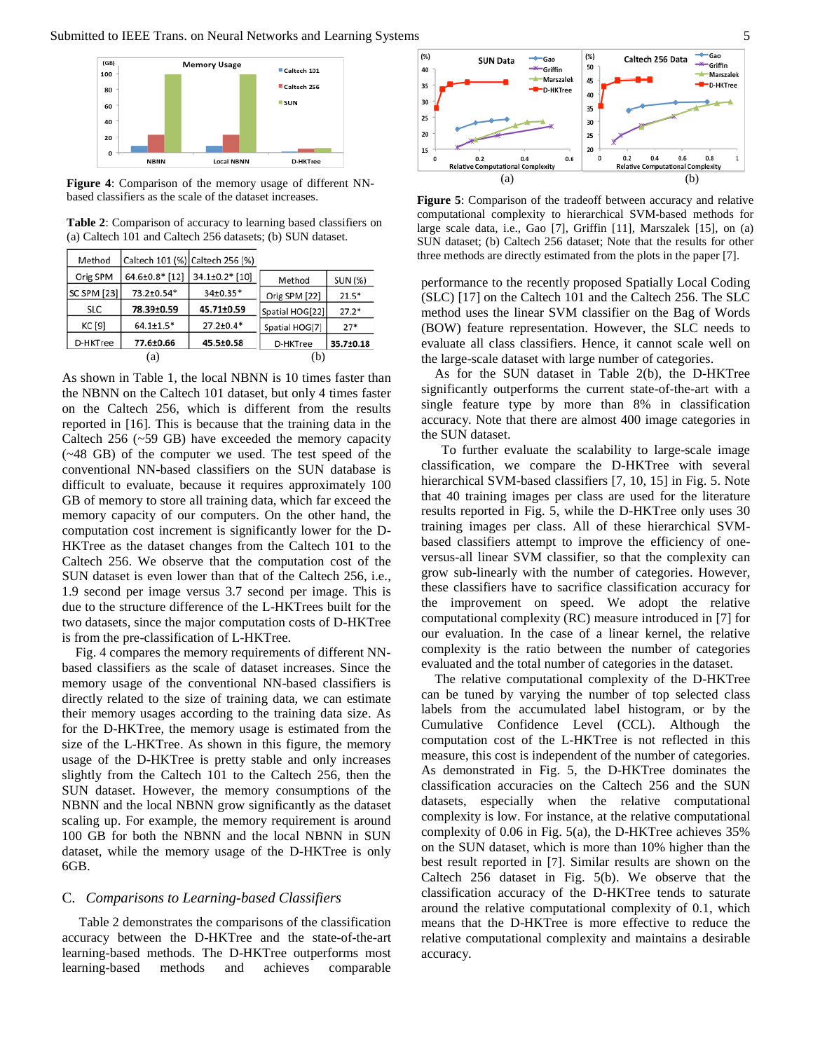

**Figure 4**: Comparison of the memory usage of different NNbased classifiers as the scale of the dataset increases.

**Table 2**: Comparison of accuracy to learning based classifiers on (a) Caltech 101 and Caltech 256 datasets; (b) SUN dataset.

| Method             |                 | Caltech 101 (%) Caltech 256 (%) |                 |                |
|--------------------|-----------------|---------------------------------|-----------------|----------------|
| Orig SPM           | 64.6±0.8* [12]  | 34.1±0.2* [10]                  | Method          | <b>SUN (%)</b> |
| <b>SC SPM [23]</b> | 73.2±0.54*      | 34±0.35*                        | Orig SPM [22]   | $21.5*$        |
| <b>SLC</b>         | 78.39±0.59      | 45.71±0.59                      | Spatial HOG[22] | $27.2*$        |
| KC [9]             | $64.1 \pm 1.5*$ | $27.2 \pm 0.4*$                 | Spatial HOG[7]  | $27*$          |
| D-HKTree           | 77.6±0.66       |                                 | D-HKTree        | 35.7±0.18      |
| (a)                |                 |                                 | (b)             |                |

As shown in Table 1, the local NBNN is 10 times faster than the NBNN on the Caltech 101 dataset, but only 4 times faster on the Caltech 256, which is different from the results reported in [16]. This is because that the training data in the Caltech 256 (~59 GB) have exceeded the memory capacity (~48 GB) of the computer we used. The test speed of the conventional NN-based classifiers on the SUN database is difficult to evaluate, because it requires approximately 100 GB of memory to store all training data, which far exceed the memory capacity of our computers. On the other hand, the computation cost increment is significantly lower for the D-HKTree as the dataset changes from the Caltech 101 to the Caltech 256. We observe that the computation cost of the SUN dataset is even lower than that of the Caltech 256, i.e., 1.9 second per image versus 3.7 second per image. This is due to the structure difference of the L-HKTrees built for the two datasets, since the major computation costs of D-HKTree is from the pre-classification of L-HKTree.

Fig. 4 compares the memory requirements of different NNbased classifiers as the scale of dataset increases. Since the memory usage of the conventional NN-based classifiers is directly related to the size of training data, we can estimate their memory usages according to the training data size. As for the D-HKTree, the memory usage is estimated from the size of the L-HKTree. As shown in this figure, the memory usage of the D-HKTree is pretty stable and only increases slightly from the Caltech 101 to the Caltech 256, then the SUN dataset. However, the memory consumptions of the NBNN and the local NBNN grow significantly as the dataset scaling up. For example, the memory requirement is around 100 GB for both the NBNN and the local NBNN in SUN dataset, while the memory usage of the D-HKTree is only 6GB.

# C. *Comparisons to Learning-based Classifiers*

Table 2 demonstrates the comparisons of the classification accuracy between the D-HKTree and the state-of-the-art learning-based methods. The D-HKTree outperforms most learning-based methods and achieves comparable



**Figure 5**: Comparison of the tradeoff between accuracy and relative computational complexity to hierarchical SVM-based methods for large scale data, i.e., Gao [7], Griffin [11], Marszalek [15], on (a) SUN dataset; (b) Caltech 256 dataset; Note that the results for other three methods are directly estimated from the plots in the paper [7].

performance to the recently proposed Spatially Local Coding (SLC) [17] on the Caltech 101 and the Caltech 256. The SLC method uses the linear SVM classifier on the Bag of Words (BOW) feature representation. However, the SLC needs to evaluate all class classifiers. Hence, it cannot scale well on the large-scale dataset with large number of categories.

As for the SUN dataset in Table 2(b), the D-HKTree significantly outperforms the current state-of-the-art with a single feature type by more than 8% in classification accuracy. Note that there are almost 400 image categories in the SUN dataset.

 To further evaluate the scalability to large-scale image classification, we compare the D-HKTree with several hierarchical SVM-based classifiers [7, 10, 15] in Fig. 5. Note that 40 training images per class are used for the literature results reported in Fig. 5, while the D-HKTree only uses 30 training images per class. All of these hierarchical SVMbased classifiers attempt to improve the efficiency of oneversus-all linear SVM classifier, so that the complexity can grow sub-linearly with the number of categories. However, these classifiers have to sacrifice classification accuracy for the improvement on speed. We adopt the relative computational complexity (RC) measure introduced in [7] for our evaluation. In the case of a linear kernel, the relative complexity is the ratio between the number of categories evaluated and the total number of categories in the dataset.

The relative computational complexity of the D-HKTree can be tuned by varying the number of top selected class labels from the accumulated label histogram, or by the Cumulative Confidence Level (CCL). Although the computation cost of the L-HKTree is not reflected in this measure, this cost is independent of the number of categories. As demonstrated in Fig. 5, the D-HKTree dominates the classification accuracies on the Caltech 256 and the SUN datasets, especially when the relative computational complexity is low. For instance, at the relative computational complexity of 0.06 in Fig. 5(a), the D-HKTree achieves 35% on the SUN dataset, which is more than 10% higher than the best result reported in [7]. Similar results are shown on the Caltech 256 dataset in Fig. 5(b). We observe that the classification accuracy of the D-HKTree tends to saturate around the relative computational complexity of 0.1, which means that the D-HKTree is more effective to reduce the relative computational complexity and maintains a desirable accuracy.